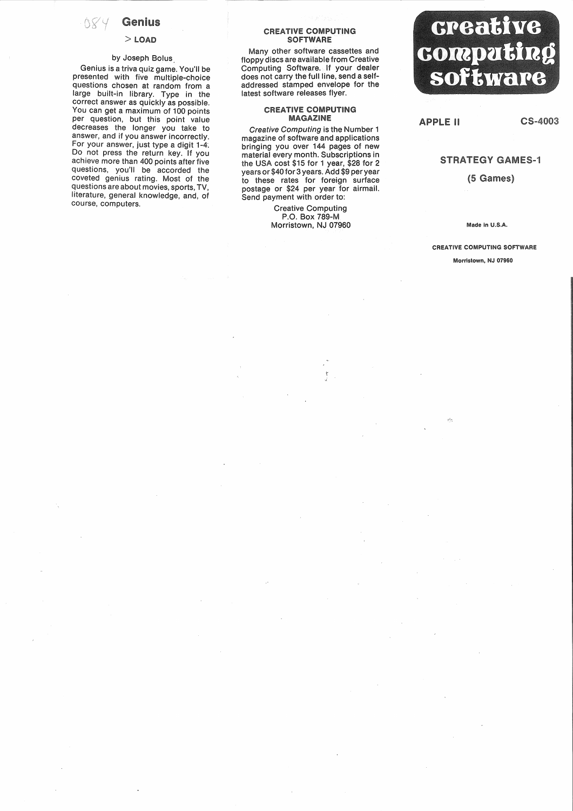## **Genius**

084

#### $>$  LOAD

### by Joseph Bolus

Genius is a triva quiz game. You'll be presented with five multiple-choice questions chosen at random from a large built-in library. Type in the correct answer as quickly as possible. You can get a maximum of 100 points per question, but this point value decreases the longer you take to answer, and if you answer incorrectly. For your answer, just type a digit 1-4. Do not press the return key. If you achieve more than 400 points after five questions, you'll be accorded the coveted genius rating. Most of the questions are about movies, sports, TV, literature, general knowledge, and, of course, computers.

#### **CREATIVE COMPUTING SOFTWARE**

Many other software cassettes and floppy discs are available from Creative Computing Software. If your dealer does not carry the full line, send a selfaddressed stamped. envelope for the latest software releases flyer.

#### **CREATIVE COMPUTING MAGAZINE**

Creative Computing is the Number 1 magazine of software and applications bringing you over 144 pages of new material every month. Subscriptions in the USA cost \$15 for 1 year, \$28 for 2 years or \$40 for 3 years. Add \$9 per year to these rates for foreign surface postage or \$24 per year for airmail. Send payment with order to:

> Creative Computing P.O. Box 789-M Morristown, NJ 07960



### **APPLE II**

CS-4003

# **STRATEGY GAMES-1**

(5 Games)

Made in U.S.A.

CREATIVE COMPUTING SOFTWARE Morristown, NJ 07960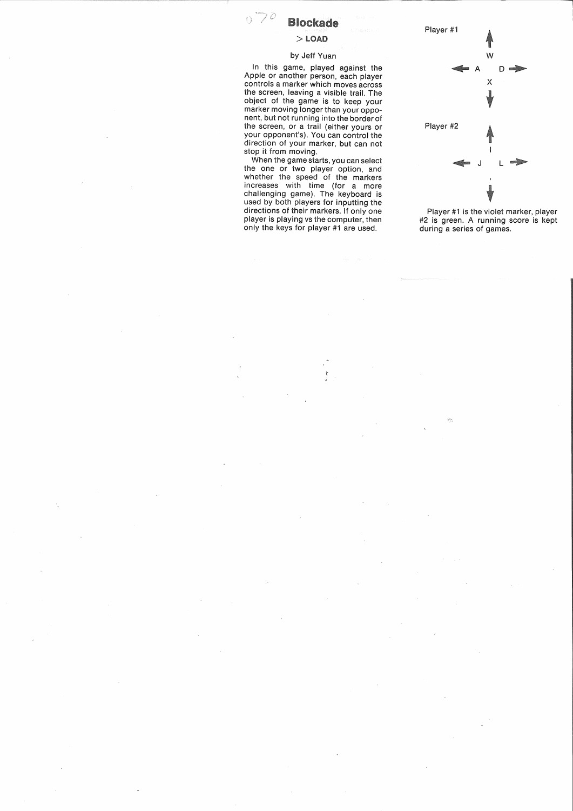# **Blockade**

 $070$ 

# $>$  LOAD

### by Jeff Yuan

In this game, played against the Apple or another person, each player controls a marker which moves across the screen, leaving a visible trail The object of the game' is to keep your marker moving longer than your opponent, but not running into the border of the screen, or a trail (either yours or your opponent's). You can control the direction of your marker, but can not stop it from moving.

When the game starts, you can select the one or two player option, and whether the speed of the markers increases with time (for a more challenging game). The keyboard is used by both players for inputting the directions of their markers. If only one player is playing vs the computer, then only the keys for player #1 are used.



Player #1 is the violet marker, player #2 is green. A running score is kept during a series of games.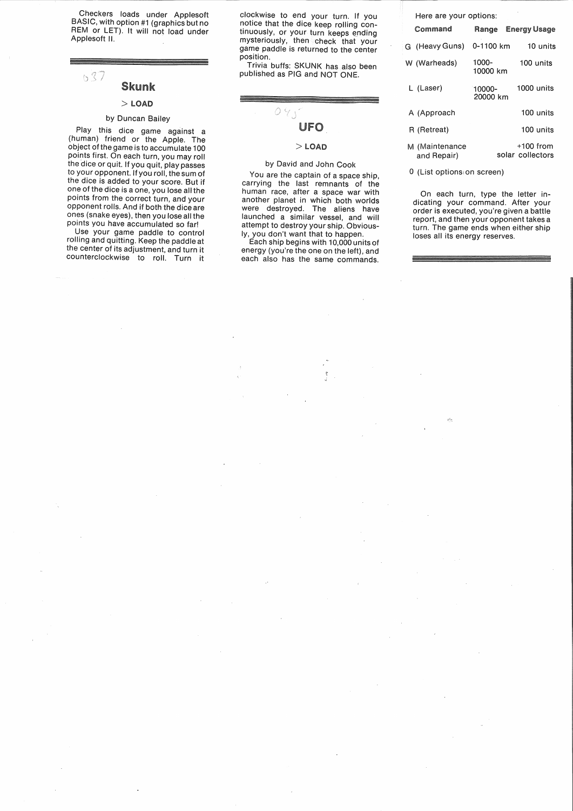Checkers loads under Applesoft BASIC, with option #1 (graphics but no REM or LET). It will not load under Applesoft II.

## $037$ **Skunk**

# $>$  LOAD

## by Duncan Bailey

Play this dice game against a (human) friend or the Apple. The object of the game is to accumulate 100 points first. On each turn, you may roll the dice or quit. If you quit, play passes to your opponent. If you roll, the sum of the dice is added to your score. But if one of the dice is a one, you lose all the points from the correct turn, and your opponent rolls. And if both the dice are ones (snake eyes), then you lose all the points you have accumulated so far!

Use your game paddle to control rolling and quitting. Keep the paddle at the center of its adjustment, and turn it counterclockwise to roll. Turn it clockwise to end your turn. If you notice that the dice keep rolling continuously, or your turn keeps ending mysteriously, then check that your game paddle is returned to the center position.

Trivia buffs: SKUNK has also been published as PIG and NOT ONE.

# $0.9<sub>0</sub>$ **UFO**

#### $>$  LOAD

#### by David and John Cook

You are the captain of a space ship, carrying the last remnants of the human race, after a space war with another planet in which both worlds were destroyed. The aliens have launched a similar vessel, and will attempt to destroy your ship..Obvious-Iy, you don't want that to happen.

Each ship begins with 10,000 units of energy (you're the one on the left), and each also has the same commands.

| Here are your options:        |                    |                                 |
|-------------------------------|--------------------|---------------------------------|
| Command                       | Range              | <b>Energy Usage</b>             |
| G (Heavy Guns)                | 0-1100 km          | 10 units                        |
| W (Warheads)                  | 1000-<br>10000 km  | 100 units                       |
| L (Laser)                     | 10000-<br>20000 km | 1000 units                      |
| A (Approach                   |                    | 100 units                       |
| R (Retreat)                   |                    | 100 units                       |
| M (Maintenance<br>and Repair) |                    | $+100$ from<br>solar collectors |

0 (List optionsion screen)

On each turn, type the letter indicating your command. After your order is executed, you're given a battle report, and then your opponent takes a turn. The game ends when either ship loses all its energy reserves.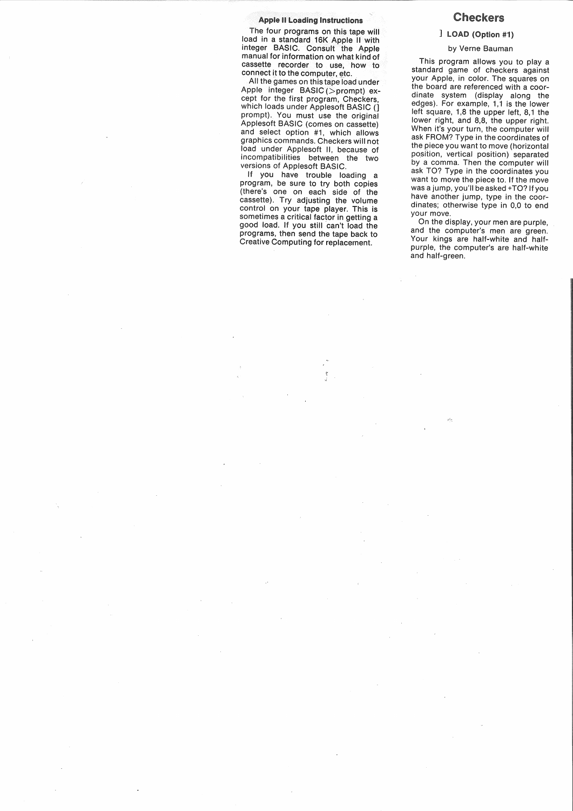#### **Apple II Loading Instructions**

The four programs on this tape will load in a standard 16K Apple II with integer BASIC. Consult the Apple manual for information on what kindof cassette recorder to use, how to connect it to the computer, etc.

All the games on this tape load under Apple integer BASIC(>prompt) except for the first program, Checkers, which loads under Applesoft BASIC () prompt). You must use the original Applesoft BASIC (comes on cassette) and select option #1, which allows graphics commands. Checkers will not load under Applesoft II, because of incompatibilities between the two versions of Applesoft BASIC.

lf you have trouble loading a program, be sure to try both copies (there's one on each side of the cassette). Try adjusting the volume control on your tape player. This is sometimes a critical factor in getting a good load. If you still can't load the programs, then send the tape back to Creative Computing for replacement.

# **Checkers**

## (Option #1)

#### by Verne Bauman

This program allows you to play a standard game of checkers against your Apple, in color. The squares on the board are referenced with a coordinate system (display along the edges). For example, 1,1 is the lower left square, 1,8 the upper left, 8,1 the lower right, and 8,8, the upper right. When it's your turn, the computer will ask FROM? Type in the coordinates of the piece you want to move (horizontal position vertical position) separated by a comma. Then the computer will ask TO? Type in the coordinates you want to move the piece to. If the move was a jump, you'll be asked +TO? If you have another jump, type in the coordinates; otherwise type in 0,0 to end your move.

On the display, your men are purple, and the computer's men are green. Your kings are half-white and halfpurple, the computer's are half-white and half-green.